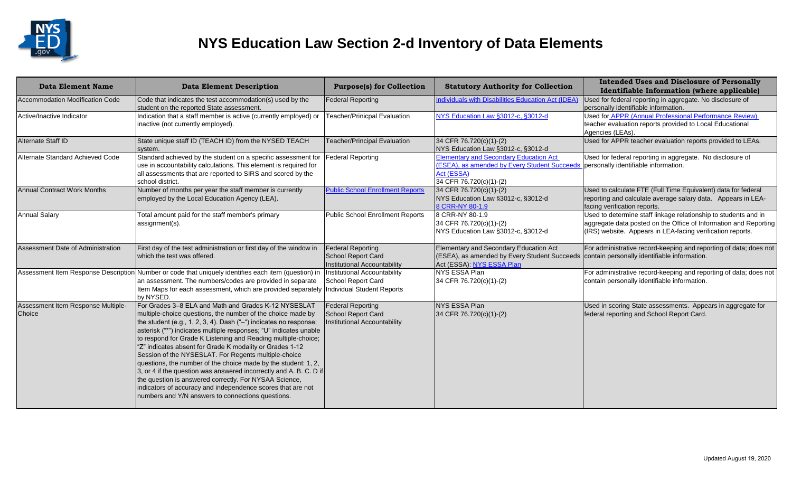

| <b>Data Element Name</b>                     | <b>Data Element Description</b>                                                                                                                                                                                                                                                                                                                                                                                                                                                                                                                                                                                                                                                                                                                                          | <b>Purpose(s) for Collection</b>                                                        | <b>Statutory Authority for Collection</b>                                                                                              | <b>Intended Uses and Disclosure of Personally</b><br>Identifiable Information (where applicable)                                                                                                  |
|----------------------------------------------|--------------------------------------------------------------------------------------------------------------------------------------------------------------------------------------------------------------------------------------------------------------------------------------------------------------------------------------------------------------------------------------------------------------------------------------------------------------------------------------------------------------------------------------------------------------------------------------------------------------------------------------------------------------------------------------------------------------------------------------------------------------------------|-----------------------------------------------------------------------------------------|----------------------------------------------------------------------------------------------------------------------------------------|---------------------------------------------------------------------------------------------------------------------------------------------------------------------------------------------------|
| Accommodation Modification Code              | Code that indicates the test accommodation(s) used by the<br>student on the reported State assessment.                                                                                                                                                                                                                                                                                                                                                                                                                                                                                                                                                                                                                                                                   | <b>Federal Reporting</b>                                                                | <b>Individuals with Disabilities Education Act (IDEA)</b>                                                                              | Used for federal reporting in aggregate. No disclosure of<br>personally identifiable information.                                                                                                 |
| Active/Inactive Indicator                    | Indication that a staff member is active (currently employed) or<br>inactive (not currently employed).                                                                                                                                                                                                                                                                                                                                                                                                                                                                                                                                                                                                                                                                   | <b>Teacher/Prinicpal Evaluation</b>                                                     | NYS Education Law §3012-c, §3012-d                                                                                                     | Used for APPR (Annual Professional Performance Review)<br>teacher evaluation reports provided to Local Educational<br>Agencies (LEAs).                                                            |
| Alternate Staff ID                           | State unique staff ID (TEACH ID) from the NYSED TEACH<br>system.                                                                                                                                                                                                                                                                                                                                                                                                                                                                                                                                                                                                                                                                                                         | <b>Teacher/Principal Evaluation</b>                                                     | 34 CFR 76.720(c)(1)-(2)<br>NYS Education Law §3012-c, §3012-d                                                                          | Used for APPR teacher evaluation reports provided to LEAs.                                                                                                                                        |
| Alternate Standard Achieved Code             | Standard achieved by the student on a specific assessment for<br>use in accountability calculations. This element is required for<br>all assessments that are reported to SIRS and scored by the<br>school district.                                                                                                                                                                                                                                                                                                                                                                                                                                                                                                                                                     | Federal Reporting                                                                       | <b>Elementary and Secondary Education Act</b><br>(ESEA), as amended by Every Student Succeeds<br>Act (ESSA)<br>34 CFR 76.720(c)(1)-(2) | Used for federal reporting in aggregate. No disclosure of<br>personally identifiable information.                                                                                                 |
| <b>Annual Contract Work Months</b>           | Number of months per year the staff member is currently<br>employed by the Local Education Agency (LEA).                                                                                                                                                                                                                                                                                                                                                                                                                                                                                                                                                                                                                                                                 | <b>Public School Enrollment Reports</b>                                                 | 34 CFR 76.720(c)(1)-(2)<br>NYS Education Law §3012-c, §3012-d<br>8 CRR-NY 80-1.9                                                       | Used to calculate FTE (Full Time Equivalent) data for federal<br>reporting and calculate average salary data. Appears in LEA-<br>facing verification reports.                                     |
| <b>Annual Salary</b>                         | Total amount paid for the staff member's primary<br>assignment(s).                                                                                                                                                                                                                                                                                                                                                                                                                                                                                                                                                                                                                                                                                                       | <b>Public School Enrollment Reports</b>                                                 | 8 CRR-NY 80-1.9<br>34 CFR 76.720(c)(1)-(2)<br>NYS Education Law §3012-c, §3012-d                                                       | Used to determine staff linkage relationship to students and in<br>aggregate data posted on the Office of Information and Reporting<br>(IRS) website. Appears in LEA-facing verification reports. |
| Assessment Date of Administration            | First day of the test administration or first day of the window in<br>which the test was offered.                                                                                                                                                                                                                                                                                                                                                                                                                                                                                                                                                                                                                                                                        | <b>Federal Reporting</b><br><b>School Report Card</b><br>Institutional Accountability   | Elementary and Secondary Education Act<br>(ESEA), as amended by Every Student Succeeds<br>Act (ESSA): NYS ESSA Plan                    | For administrative record-keeping and reporting of data; does not<br>contain personally identifiable information.                                                                                 |
|                                              | Assessment Item Response Description Number or code that uniquely identifies each item (question) in<br>an assessment. The numbers/codes are provided in separate<br>Item Maps for each assessment, which are provided separately<br>by NYSED.                                                                                                                                                                                                                                                                                                                                                                                                                                                                                                                           | <b>Institutional Accountability</b><br>School Report Card<br>Individual Student Reports | NYS ESSA Plan<br>34 CFR 76.720(c)(1)-(2)                                                                                               | For administrative record-keeping and reporting of data; does not<br>contain personally identifiable information.                                                                                 |
| Assessment Item Response Multiple-<br>Choice | For Grades 3-8 ELA and Math and Grades K-12 NYSESLAT<br>multiple-choice questions, the number of the choice made by<br>the student (e.g., 1, 2, 3, 4). Dash ("-") indicates no response;<br>asterisk ("*") indicates multiple responses; "U" indicates unable<br>to respond for Grade K Listening and Reading multiple-choice;<br>"Z" indicates absent for Grade K modality or Grades 1-12<br>Session of the NYSESLAT. For Regents multiple-choice<br>questions, the number of the choice made by the student: 1, 2,<br>3, or 4 if the question was answered incorrectly and A. B. C. D if<br>the question is answered correctly. For NYSAA Science,<br>indicators of accuracy and independence scores that are not<br>numbers and Y/N answers to connections questions. | <b>Federal Reporting</b><br>School Report Card<br>Institutional Accountability          | <b>NYS ESSA Plan</b><br>34 CFR 76.720(c)(1)-(2)                                                                                        | Used in scoring State assessments. Appears in aggregate for<br>federal reporting and School Report Card.                                                                                          |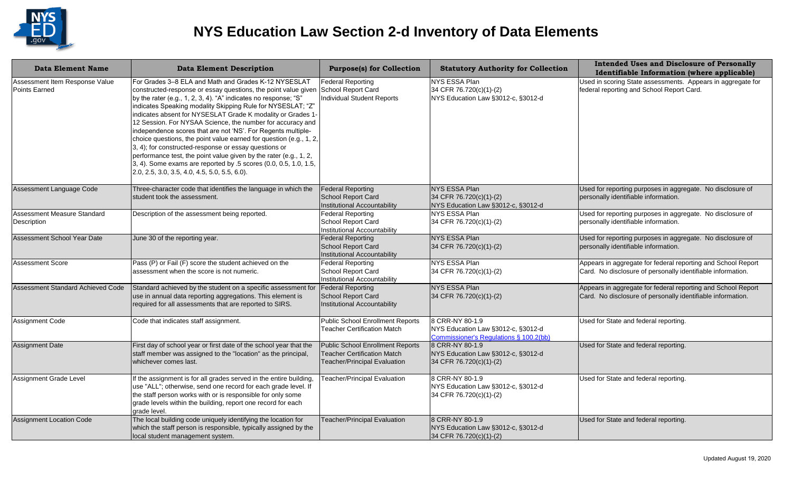

| Data Element Name                               | <b>Data Element Description</b>                                                                                                                                                                                                                                                                                                                                                                                                                                                                                                                                                                                                                                                                                                                                                   | <b>Purpose(s) for Collection</b>                                                                                     | <b>Statutory Authority for Collection</b>                                                       | <b>Intended Uses and Disclosure of Personally</b><br>Identifiable Information (where applicable)                            |
|-------------------------------------------------|-----------------------------------------------------------------------------------------------------------------------------------------------------------------------------------------------------------------------------------------------------------------------------------------------------------------------------------------------------------------------------------------------------------------------------------------------------------------------------------------------------------------------------------------------------------------------------------------------------------------------------------------------------------------------------------------------------------------------------------------------------------------------------------|----------------------------------------------------------------------------------------------------------------------|-------------------------------------------------------------------------------------------------|-----------------------------------------------------------------------------------------------------------------------------|
| Assessment Item Response Value<br>Points Earned | For Grades 3-8 ELA and Math and Grades K-12 NYSESLAT<br>constructed-response or essay questions, the point value given<br>by the rater (e.g., 1, 2, 3, 4). "A" indicates no response; "S"<br>indicates Speaking modality Skipping Rule for NYSESLAT; "Z"<br>indicates absent for NYSESLAT Grade K modality or Grades 1-<br>12 Session. For NYSAA Science, the number for accuracy and<br>independence scores that are not 'NS'. For Regents multiple-<br>choice questions, the point value earned for question (e.g., 1, 2,<br>3, 4); for constructed-response or essay questions or<br>performance test, the point value given by the rater (e.g., 1, 2,<br>3, 4). Some exams are reported by .5 scores (0.0, 0.5, 1.0, 1.5,<br>$[2.0, 2.5, 3.0, 3.5, 4.0, 4.5, 5.0, 5.5, 6.0].$ | Federal Reporting<br>School Report Card<br><b>Individual Student Reports</b>                                         | NYS ESSA Plan<br>34 CFR 76.720(c)(1)-(2)<br>NYS Education Law §3012-c, §3012-d                  | Used in scoring State assessments. Appears in aggregate for<br>federal reporting and School Report Card.                    |
| Assessment Language Code                        | Three-character code that identifies the language in which the<br>student took the assessment.                                                                                                                                                                                                                                                                                                                                                                                                                                                                                                                                                                                                                                                                                    | <b>Federal Reporting</b><br>School Report Card<br>Institutional Accountability                                       | <b>NYS ESSA Plan</b><br>34 CFR 76.720(c)(1)-(2)<br>NYS Education Law §3012-c, §3012-d           | Used for reporting purposes in aggregate. No disclosure of<br>personally identifiable information.                          |
| Assessment Measure Standard<br>Description      | Description of the assessment being reported.                                                                                                                                                                                                                                                                                                                                                                                                                                                                                                                                                                                                                                                                                                                                     | <b>Federal Reporting</b><br>School Report Card<br>Institutional Accountability                                       | NYS ESSA Plan<br>34 CFR 76.720(c)(1)-(2)                                                        | Used for reporting purposes in aggregate. No disclosure of<br>personally identifiable information.                          |
| Assessment School Year Date                     | June 30 of the reporting year.                                                                                                                                                                                                                                                                                                                                                                                                                                                                                                                                                                                                                                                                                                                                                    | <b>Federal Reporting</b><br>School Report Card<br>Institutional Accountability                                       | NYS ESSA Plan<br>34 CFR 76.720(c)(1)-(2)                                                        | Used for reporting purposes in aggregate. No disclosure of<br>personally identifiable information.                          |
| <b>Assessment Score</b>                         | Pass (P) or Fail (F) score the student achieved on the<br>assessment when the score is not numeric.                                                                                                                                                                                                                                                                                                                                                                                                                                                                                                                                                                                                                                                                               | <b>Federal Reporting</b><br>School Report Card<br>Institutional Accountability                                       | NYS ESSA Plan<br>34 CFR 76.720(c)(1)-(2)                                                        | Appears in aggregate for federal reporting and School Report<br>Card. No disclosure of personally identifiable information. |
| Assessment Standard Achieved Code               | Standard achieved by the student on a specific assessment for<br>use in annual data reporting aggregations. This element is<br>required for all assessments that are reported to SIRS.                                                                                                                                                                                                                                                                                                                                                                                                                                                                                                                                                                                            | <b>Federal Reporting</b><br><b>School Report Card</b><br>Institutional Accountability                                | NYS ESSA Plan<br>34 CFR 76.720(c)(1)-(2)                                                        | Appears in aggregate for federal reporting and School Report<br>Card. No disclosure of personally identifiable information. |
| Assignment Code                                 | Code that indicates staff assignment.                                                                                                                                                                                                                                                                                                                                                                                                                                                                                                                                                                                                                                                                                                                                             | <b>Public School Enrollment Reports</b><br><b>Teacher Certification Match</b>                                        | 8 CRR-NY 80-1.9<br>NYS Education Law §3012-c, §3012-d<br>Commissioner's Regulations § 100.2(bb) | Used for State and federal reporting.                                                                                       |
| <b>Assignment Date</b>                          | First day of school year or first date of the school year that the<br>staff member was assigned to the "location" as the principal,<br>whichever comes last.                                                                                                                                                                                                                                                                                                                                                                                                                                                                                                                                                                                                                      | <b>Public School Enrollment Reports</b><br><b>Teacher Certification Match</b><br><b>Teacher/Principal Evaluation</b> | 8 CRR-NY 80-1.9<br>NYS Education Law §3012-c, §3012-d<br>34 CFR 76.720(c)(1)-(2)                | Used for State and federal reporting.                                                                                       |
| Assignment Grade Level                          | If the assignment is for all grades served in the entire building,<br>use "ALL"; otherwise, send one record for each grade level. If<br>the staff person works with or is responsible for only some<br>grade levels within the building, report one record for each<br>grade level.                                                                                                                                                                                                                                                                                                                                                                                                                                                                                               | <b>Teacher/Principal Evaluation</b>                                                                                  | 8 CRR-NY 80-1.9<br>NYS Education Law §3012-c, §3012-d<br>34 CFR 76.720(c)(1)-(2)                | Used for State and federal reporting.                                                                                       |
| <b>Assignment Location Code</b>                 | The local building code uniquely identifying the location for<br>which the staff person is responsible, typically assigned by the<br>local student management system.                                                                                                                                                                                                                                                                                                                                                                                                                                                                                                                                                                                                             | <b>Teacher/Principal Evaluation</b>                                                                                  | 8 CRR-NY 80-1.9<br>NYS Education Law §3012-c, §3012-d<br>34 CFR 76.720(c)(1)-(2)                | Used for State and federal reporting.                                                                                       |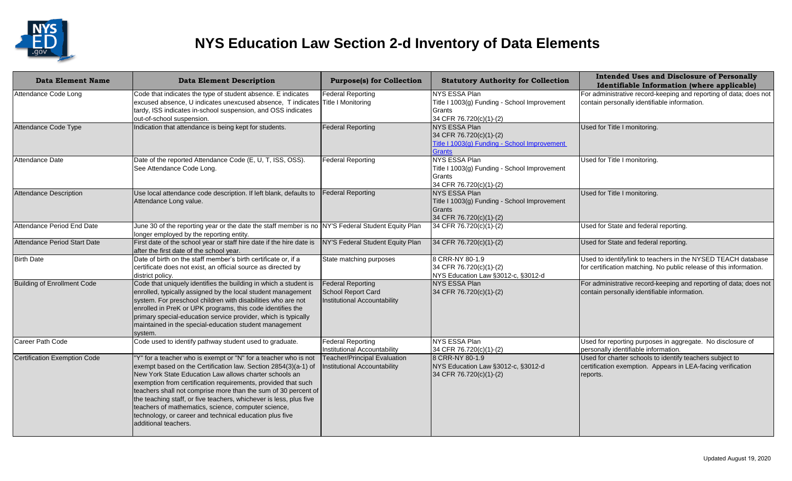

| <b>Data Element Name</b>            | <b>Data Element Description</b>                                                                                                                                                                                                                                                                                                                                                                                                                                                                                                                | <b>Purpose(s) for Collection</b>                                               | <b>Statutory Authority for Collection</b>                                                                 | <b>Intended Uses and Disclosure of Personally</b><br>Identifiable Information (where applicable)                                    |
|-------------------------------------|------------------------------------------------------------------------------------------------------------------------------------------------------------------------------------------------------------------------------------------------------------------------------------------------------------------------------------------------------------------------------------------------------------------------------------------------------------------------------------------------------------------------------------------------|--------------------------------------------------------------------------------|-----------------------------------------------------------------------------------------------------------|-------------------------------------------------------------------------------------------------------------------------------------|
| Attendance Code Long                | Code that indicates the type of student absence. E indicates<br>excused absence, U indicates unexcused absence, T indicates Title I Monitoring<br>tardy, ISS indicates in-school suspension, and OSS indicates<br>out-of-school suspension.                                                                                                                                                                                                                                                                                                    | <b>Federal Reporting</b>                                                       | <b>NYS ESSA Plan</b><br>Title I 1003(g) Funding - School Improvement<br>Grants<br>34 CFR 76.720(c)(1)-(2) | For administrative record-keeping and reporting of data; does not<br>contain personally identifiable information.                   |
| Attendance Code Type                | Indication that attendance is being kept for students.                                                                                                                                                                                                                                                                                                                                                                                                                                                                                         | <b>Federal Reporting</b>                                                       | NYS ESSA Plan<br>34 CFR 76.720(c)(1)-(2)<br>Title I 1003(g) Funding - School Improvement<br><b>Grants</b> | Used for Title I monitoring.                                                                                                        |
| Attendance Date                     | Date of the reported Attendance Code (E, U, T, ISS, OSS).<br>See Attendance Code Long.                                                                                                                                                                                                                                                                                                                                                                                                                                                         | <b>Federal Reporting</b>                                                       | NYS ESSA Plan<br>Title I 1003(g) Funding - School Improvement<br>Grants<br>34 CFR 76.720(c)(1)-(2)        | Used for Title I monitoring.                                                                                                        |
| <b>Attendance Description</b>       | Use local attendance code description. If left blank, defaults to<br>Attendance Long value.                                                                                                                                                                                                                                                                                                                                                                                                                                                    | <b>Federal Reporting</b>                                                       | <b>NYS ESSA Plan</b><br>Title I 1003(g) Funding - School Improvement<br>Grants<br>34 CFR 76.720(c)(1)-(2) | Used for Title I monitoring.                                                                                                        |
| Attendance Period End Date          | June 30 of the reporting year or the date the staff member is no NY'S Federal Student Equity Plan<br>longer employed by the reporting entity.                                                                                                                                                                                                                                                                                                                                                                                                  |                                                                                | 34 CFR 76.720(c)(1)-(2)                                                                                   | Used for State and federal reporting.                                                                                               |
| Attendance Period Start Date        | First date of the school year or staff hire date if the hire date is<br>after the first date of the school year.                                                                                                                                                                                                                                                                                                                                                                                                                               | NY'S Federal Student Equity Plan                                               | 34 CFR 76.720(c)(1)-(2)                                                                                   | Used for State and federal reporting.                                                                                               |
| <b>Birth Date</b>                   | Date of birth on the staff member's birth certificate or, if a<br>certificate does not exist, an official source as directed by<br>district policy.                                                                                                                                                                                                                                                                                                                                                                                            | State matching purposes                                                        | 8 CRR-NY 80-1.9<br>34 CFR 76.720(c)(1)-(2)<br>NYS Education Law §3012-c, §3012-d                          | Used to identify/link to teachers in the NYSED TEACH database<br>for certification matching. No public release of this information. |
| <b>Building of Enrollment Code</b>  | Code that uniquely identifies the building in which a student is<br>enrolled, typically assigned by the local student management<br>system. For preschool children with disabilities who are not<br>enrolled in PreK or UPK programs, this code identifies the<br>primary special-education service provider, which is typically<br>maintained in the special-education student management<br>system.                                                                                                                                          | <b>Federal Reporting</b><br>School Report Card<br>Institutional Accountability | NYS ESSA Plan<br>34 CFR 76.720(c)(1)-(2)                                                                  | For administrative record-keeping and reporting of data; does not<br>contain personally identifiable information.                   |
| Career Path Code                    | Code used to identify pathway student used to graduate.                                                                                                                                                                                                                                                                                                                                                                                                                                                                                        | <b>Federal Reporting</b><br>Institutional Accountability                       | NYS ESSA Plan<br>34 CFR 76.720(c)(1)-(2)                                                                  | Used for reporting purposes in aggregate. No disclosure of<br>personally identifiable information.                                  |
| <b>Certification Exemption Code</b> | "Y" for a teacher who is exempt or "N" for a teacher who is not<br>exempt based on the Certification law. Section 2854(3)(a-1) of<br>New York State Education Law allows charter schools an<br>exemption from certification requirements, provided that such<br>teachers shall not comprise more than the sum of 30 percent of<br>the teaching staff, or five teachers, whichever is less, plus five<br>teachers of mathematics, science, computer science,<br>technology, or career and technical education plus five<br>additional teachers. | <b>Teacher/Principal Evaluation</b><br>Institutional Accountability            | 8 CRR-NY 80-1.9<br>NYS Education Law §3012-c, §3012-d<br>34 CFR 76.720(c)(1)-(2)                          | Used for charter schools to identify teachers subject to<br>certification exemption. Appears in LEA-facing verification<br>reports. |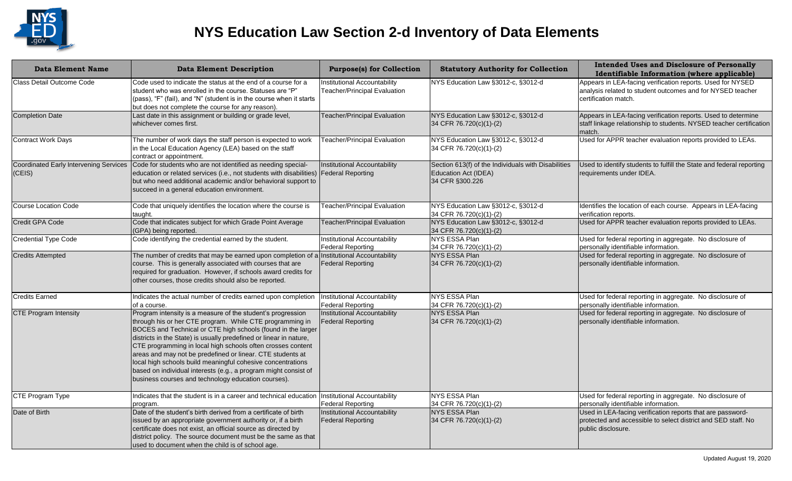

| <b>Data Element Name</b>                                | <b>Data Element Description</b>                                                                                                                                                                                                                                                                                                                                                                                                                                                                                                                                                     | <b>Purpose(s) for Collection</b>                                    | <b>Statutory Authority for Collection</b>                                                      | <b>Intended Uses and Disclosure of Personally</b><br>Identifiable Information (where applicable)                                                  |
|---------------------------------------------------------|-------------------------------------------------------------------------------------------------------------------------------------------------------------------------------------------------------------------------------------------------------------------------------------------------------------------------------------------------------------------------------------------------------------------------------------------------------------------------------------------------------------------------------------------------------------------------------------|---------------------------------------------------------------------|------------------------------------------------------------------------------------------------|---------------------------------------------------------------------------------------------------------------------------------------------------|
| Class Detail Outcome Code                               | Code used to indicate the status at the end of a course for a<br>student who was enrolled in the course. Statuses are "P"<br>(pass), "F" (fail), and "N" (student is in the course when it starts<br>but does not complete the course for any reason).                                                                                                                                                                                                                                                                                                                              | Institutional Accountability<br><b>Teacher/Principal Evaluation</b> | NYS Education Law §3012-c, §3012-d                                                             | Appears in LEA-facing verification reports. Used for NYSED<br>analysis related to student outcomes and for NYSED teacher<br>certification match.  |
| <b>Completion Date</b>                                  | Last date in this assignment or building or grade level,<br>whichever comes first.                                                                                                                                                                                                                                                                                                                                                                                                                                                                                                  | Teacher/Principal Evaluation                                        | NYS Education Law §3012-c, §3012-d<br>34 CFR 76.720(c)(1)-(2)                                  | Appears in LEA-facing verification reports. Used to determine<br>staff linkage relationship to students. NYSED teacher certification<br>match.    |
| <b>Contract Work Days</b>                               | The number of work days the staff person is expected to work<br>in the Local Education Agency (LEA) based on the staff<br>contract or appointment.                                                                                                                                                                                                                                                                                                                                                                                                                                  | <b>Teacher/Principal Evaluation</b>                                 | NYS Education Law §3012-c, §3012-d<br>34 CFR 76.720(c)(1)-(2)                                  | Used for APPR teacher evaluation reports provided to LEAs.                                                                                        |
| <b>Coordinated Early Intervening Services</b><br>(CEIS) | Code for students who are not identified as needing special-<br>education or related services (i.e., not students with disabilities)<br>but who need additional academic and/or behavioral support to<br>succeed in a general education environment.                                                                                                                                                                                                                                                                                                                                | Institutional Accountability<br><b>Federal Reporting</b>            | Section 613(f) of the Individuals with Disabilities<br>Education Act (IDEA)<br>34 CFR §300.226 | Used to identify students to fulfill the State and federal reporting<br>requirements under IDEA.                                                  |
| Course Location Code                                    | Code that uniquely identifies the location where the course is<br>taught.                                                                                                                                                                                                                                                                                                                                                                                                                                                                                                           | Teacher/Principal Evaluation                                        | NYS Education Law §3012-c, §3012-d<br>34 CFR 76.720(c)(1)-(2)                                  | Identifies the location of each course. Appears in LEA-facing<br>verification reports.                                                            |
| <b>Credit GPA Code</b>                                  | Code that indicates subject for which Grade Point Average<br>(GPA) being reported.                                                                                                                                                                                                                                                                                                                                                                                                                                                                                                  | <b>Teacher/Principal Evaluation</b>                                 | NYS Education Law §3012-c, §3012-d<br>34 CFR 76.720(c)(1)-(2)                                  | Used for APPR teacher evaluation reports provided to LEAs.                                                                                        |
| <b>Credential Type Code</b>                             | Code identifying the credential earned by the student.                                                                                                                                                                                                                                                                                                                                                                                                                                                                                                                              | <b>Institutional Accountability</b><br><b>Federal Reporting</b>     | NYS ESSA Plan<br>34 CFR 76.720(c)(1)-(2)                                                       | Used for federal reporting in aggregate. No disclosure of<br>personally identifiable information.                                                 |
| <b>Credits Attempted</b>                                | The number of credits that may be earned upon completion of a<br>course. This is generally associated with courses that are<br>required for graduation. However, if schools award credits for<br>other courses, those credits should also be reported.                                                                                                                                                                                                                                                                                                                              | Institutional Accountability<br><b>Federal Reporting</b>            | <b>NYS ESSA Plan</b><br>34 CFR 76.720(c)(1)-(2)                                                | Used for federal reporting in aggregate. No disclosure of<br>personally identifiable information.                                                 |
| <b>Credits Earned</b>                                   | Indicates the actual number of credits earned upon completion<br>of a course.                                                                                                                                                                                                                                                                                                                                                                                                                                                                                                       | Institutional Accountability<br><b>Federal Reporting</b>            | NYS ESSA Plan<br>34 CFR 76.720(c)(1)-(2)                                                       | Used for federal reporting in aggregate. No disclosure of<br>personally identifiable information.                                                 |
| <b>CTE Program Intensity</b>                            | Program intensity is a measure of the student's progression<br>through his or her CTE program. While CTE programming in<br>BOCES and Technical or CTE high schools (found in the larger<br>districts in the State) is usually predefined or linear in nature,<br>CTE programming in local high schools often crosses content<br>areas and may not be predefined or linear. CTE students at<br>local high schools build meaningful cohesive concentrations<br>based on individual interests (e.g., a program might consist of<br>business courses and technology education courses). | <b>Institutional Accountability</b><br><b>Federal Reporting</b>     | NYS ESSA Plan<br>34 CFR 76.720(c)(1)-(2)                                                       | Used for federal reporting in aggregate. No disclosure of<br>personally identifiable information.                                                 |
| <b>CTE Program Type</b>                                 | Indicates that the student is in a career and technical education<br>program.                                                                                                                                                                                                                                                                                                                                                                                                                                                                                                       | Institutional Accountability<br><b>Federal Reporting</b>            | NYS ESSA Plan<br>34 CFR 76.720(c)(1)-(2)                                                       | Used for federal reporting in aggregate. No disclosure of<br>personally identifiable information.                                                 |
| Date of Birth                                           | Date of the student's birth derived from a certificate of birth<br>issued by an appropriate government authority or, if a birth<br>certificate does not exist, an official source as directed by<br>district policy. The source document must be the same as that<br>used to document when the child is of school age.                                                                                                                                                                                                                                                              | <b>Institutional Accountability</b><br><b>Federal Reporting</b>     | <b>NYS ESSA Plan</b><br>34 CFR 76.720(c)(1)-(2)                                                | Used in LEA-facing verification reports that are password-<br>protected and accessible to select district and SED staff. No<br>public disclosure. |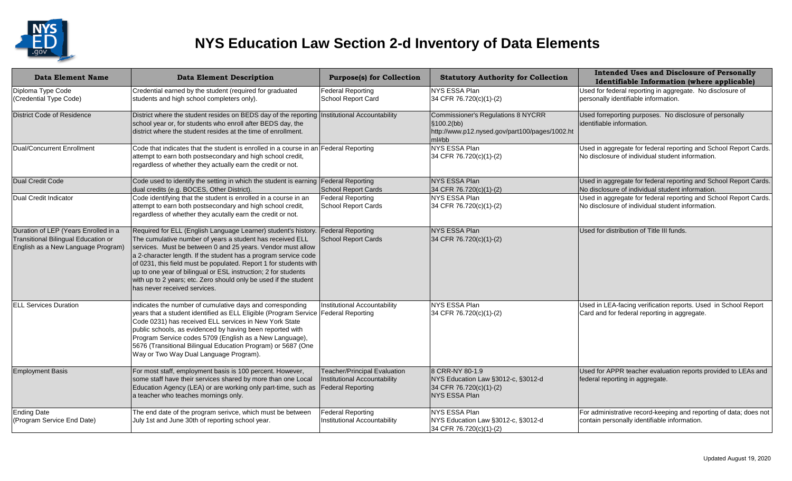

| <b>Data Element Name</b>                                                                                          | <b>Data Element Description</b>                                                                                                                                                                                                                                                                                                                                                                                                                                                                          | <b>Purpose(s) for Collection</b>                                                                | <b>Statutory Authority for Collection</b>                                                                    | <b>Intended Uses and Disclosure of Personally</b><br>Identifiable Information (where applicable)                     |
|-------------------------------------------------------------------------------------------------------------------|----------------------------------------------------------------------------------------------------------------------------------------------------------------------------------------------------------------------------------------------------------------------------------------------------------------------------------------------------------------------------------------------------------------------------------------------------------------------------------------------------------|-------------------------------------------------------------------------------------------------|--------------------------------------------------------------------------------------------------------------|----------------------------------------------------------------------------------------------------------------------|
| Diploma Type Code<br>(Credential Type Code)                                                                       | Credential earned by the student (required for graduated<br>students and high school completers only).                                                                                                                                                                                                                                                                                                                                                                                                   | Federal Reporting<br>School Report Card                                                         | <b>NYS ESSA Plan</b><br>34 CFR 76.720(c)(1)-(2)                                                              | Used for federal reporting in aggregate. No disclosure of<br>personally identifiable information.                    |
| <b>District Code of Residence</b>                                                                                 | District where the student resides on BEDS day of the reporting   Institutional Accountability<br>school year or, for students who enroll after BEDS day, the<br>district where the student resides at the time of enrollment.                                                                                                                                                                                                                                                                           |                                                                                                 | Commissioner's Regulations 8 NYCRR<br>\$100.2(bb)<br>http://www.p12.nysed.gov/part100/pages/1002.ht<br>ml#bb | Used forreporting purposes. No disclosure of personally<br>identifiable information.                                 |
| Dual/Concurrent Enrollment                                                                                        | Code that indicates that the student is enrolled in a course in an Federal Reporting<br>attempt to earn both postsecondary and high school credit,<br>regardless of whether they actually earn the credit or not.                                                                                                                                                                                                                                                                                        |                                                                                                 | NYS ESSA Plan<br>34 CFR 76.720(c)(1)-(2)                                                                     | Used in aggregate for federal reporting and School Report Cards.<br>No disclosure of individual student information. |
| <b>Dual Credit Code</b>                                                                                           | Code used to identify the setting in which the student is earning<br>dual credits (e.g. BOCES, Other District).                                                                                                                                                                                                                                                                                                                                                                                          | <b>Federal Reporting</b><br>School Report Cards                                                 | NYS ESSA Plan<br>34 CFR 76.720(c)(1)-(2)                                                                     | Used in aggregate for federal reporting and School Report Cards.<br>No disclosure of individual student information. |
| Dual Credit Indicator                                                                                             | Code identifying that the student is enrolled in a course in an<br>attempt to earn both postsecondary and high school credit,<br>regardless of whether they acutally earn the credit or not.                                                                                                                                                                                                                                                                                                             | Federal Reporting<br>School Report Cards                                                        | NYS ESSA Plan<br>34 CFR 76.720(c)(1)-(2)                                                                     | Used in aggregate for federal reporting and School Report Cards.<br>No disclosure of individual student information. |
| Duration of LEP (Years Enrolled in a<br>Transitional Bilingual Education or<br>English as a New Language Program) | Required for ELL (English Language Learner) student's history.<br>The cumulative number of years a student has received ELL<br>services. Must be between 0 and 25 years. Vendor must allow<br>a 2-character length. If the student has a program service code<br>of 0231, this field must be populated. Report 1 for students with<br>up to one year of bilingual or ESL instruction; 2 for students<br>with up to 2 years; etc. Zero should only be used if the student<br>has never received services. | <b>Federal Reporting</b><br>School Report Cards                                                 | NYS ESSA Plan<br>34 CFR 76.720(c)(1)-(2)                                                                     | Used for distribution of Title III funds.                                                                            |
| <b>ELL Services Duration</b>                                                                                      | indicates the number of cumulative days and corresponding<br>years that a student identified as ELL Eligible (Program Service<br>Code 0231) has received ELL services in New York State<br>public schools, as evidenced by having been reported with<br>Program Service codes 5709 (English as a New Language),<br>5676 (Transitional Bilingual Education Program) or 5687 (One<br>Way or Two Way Dual Language Program).                                                                                | Institutional Accountability<br><b>Federal Reporting</b>                                        | NYS ESSA Plan<br>34 CFR 76.720(c)(1)-(2)                                                                     | Used in LEA-facing verification reports. Used in School Report<br>Card and for federal reporting in aggregate.       |
| <b>Employment Basis</b>                                                                                           | For most staff, employment basis is 100 percent. However,<br>some staff have their services shared by more than one Local<br>Education Agency (LEA) or are working only part-time, such as<br>a teacher who teaches mornings only.                                                                                                                                                                                                                                                                       | <b>Teacher/Principal Evaluation</b><br>Institutional Accountability<br><b>Federal Reporting</b> | 8 CRR-NY 80-1.9<br>NYS Education Law §3012-c, §3012-d<br>34 CFR 76.720(c)(1)-(2)<br>NYS ESSA Plan            | Used for APPR teacher evaluation reports provided to LEAs and<br>federal reporting in aggregate.                     |
| <b>Ending Date</b><br>(Program Service End Date)                                                                  | The end date of the program serivce, which must be between<br>July 1st and June 30th of reporting school year.                                                                                                                                                                                                                                                                                                                                                                                           | <b>Federal Reporting</b><br>Institutional Accountability                                        | NYS ESSA Plan<br>NYS Education Law §3012-c, §3012-d<br>34 CFR 76.720(c)(1)-(2)                               | For administrative record-keeping and reporting of data; does not<br>contain personally identifiable information.    |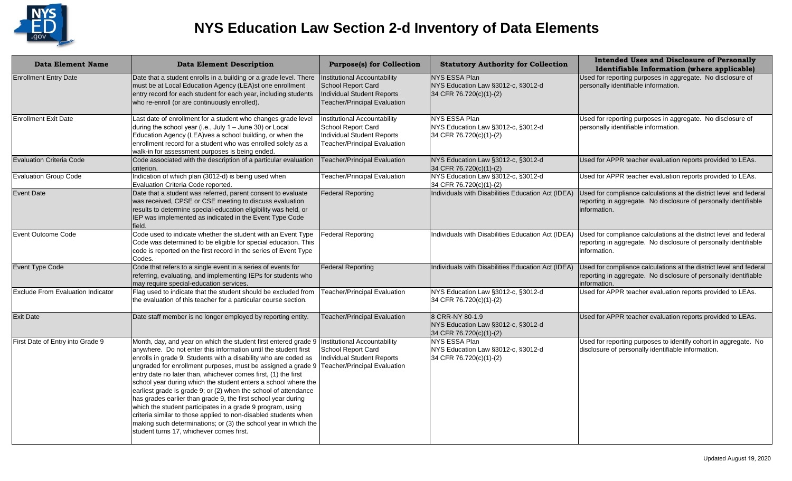

| <b>Data Element Name</b>                 | <b>Data Element Description</b>                                                                                                                                                                                                                                                                                                                                                                                                                                                                                                                                                                                                                                                                                                                                                               | <b>Purpose(s) for Collection</b>                                                                                        | <b>Statutory Authority for Collection</b>                                             | <b>Intended Uses and Disclosure of Personally</b><br>Identifiable Information (where applicable)                                                       |
|------------------------------------------|-----------------------------------------------------------------------------------------------------------------------------------------------------------------------------------------------------------------------------------------------------------------------------------------------------------------------------------------------------------------------------------------------------------------------------------------------------------------------------------------------------------------------------------------------------------------------------------------------------------------------------------------------------------------------------------------------------------------------------------------------------------------------------------------------|-------------------------------------------------------------------------------------------------------------------------|---------------------------------------------------------------------------------------|--------------------------------------------------------------------------------------------------------------------------------------------------------|
| <b>Enrollment Entry Date</b>             | Date that a student enrolls in a building or a grade level. There<br>must be at Local Education Agency (LEA)st one enrollment<br>entry record for each student for each year, including students<br>who re-enroll (or are continuously enrolled).                                                                                                                                                                                                                                                                                                                                                                                                                                                                                                                                             | Institutional Accountability<br>School Report Card<br>Individual Student Reports<br>Teacher/Principal Evaluation        | <b>NYS ESSA Plan</b><br>NYS Education Law §3012-c, §3012-d<br>34 CFR 76.720(c)(1)-(2) | Used for reporting purposes in aggregate. No disclosure of<br>personally identifiable information.                                                     |
| <b>Enrollment Exit Date</b>              | Last date of enrollment for a student who changes grade level<br>during the school year (i.e., July 1 - June 30) or Local<br>Education Agency (LEA) ves a school building, or when the<br>enrollment record for a student who was enrolled solely as a<br>walk-in for assessment purposes is being ended.                                                                                                                                                                                                                                                                                                                                                                                                                                                                                     | Institutional Accountability<br>School Report Card<br>Individual Student Reports<br><b>Teacher/Principal Evaluation</b> | NYS ESSA Plan<br>NYS Education Law §3012-c, §3012-d<br>34 CFR 76.720(c)(1)-(2)        | Used for reporting purposes in aggregate. No disclosure of<br>personally identifiable information.                                                     |
| <b>Evaluation Criteria Code</b>          | Code associated with the description of a particular evaluation<br>criterion.                                                                                                                                                                                                                                                                                                                                                                                                                                                                                                                                                                                                                                                                                                                 | <b>Teacher/Principal Evaluation</b>                                                                                     | NYS Education Law §3012-c, §3012-d<br>34 CFR 76.720(c)(1)-(2)                         | Used for APPR teacher evaluation reports provided to LEAs.                                                                                             |
| <b>Evaluation Group Code</b>             | Indication of which plan (3012-d) is being used when<br>Evaluation Criteria Code reported.                                                                                                                                                                                                                                                                                                                                                                                                                                                                                                                                                                                                                                                                                                    | <b>Teacher/Principal Evaluation</b>                                                                                     | NYS Education Law §3012-c, §3012-d<br>34 CFR 76.720(c)(1)-(2)                         | Used for APPR teacher evaluation reports provided to LEAs.                                                                                             |
| Event Date                               | Date that a student was referred, parent consent to evaluate<br>was received, CPSE or CSE meeting to discuss evaluation<br>results to determine special-education eligibility was held, or<br>IEP was implemented as indicated in the Event Type Code<br>field.                                                                                                                                                                                                                                                                                                                                                                                                                                                                                                                               | <b>Federal Reporting</b>                                                                                                | Individuals with Disabilities Education Act (IDEA)                                    | Used for compliance calculations at the district level and federal<br>reporting in aggregate. No disclosure of personally identifiable<br>information. |
| Event Outcome Code                       | Code used to indicate whether the student with an Event Type<br>Code was determined to be eligible for special education. This<br>code is reported on the first record in the series of Event Type<br>Codes.                                                                                                                                                                                                                                                                                                                                                                                                                                                                                                                                                                                  | <b>Federal Reporting</b>                                                                                                | Individuals with Disabilities Education Act (IDEA)                                    | Used for compliance calculations at the district level and federal<br>reporting in aggregate. No disclosure of personally identifiable<br>information. |
| Event Type Code                          | Code that refers to a single event in a series of events for<br>referring, evaluating, and implementing IEPs for students who<br>may require special-education services.                                                                                                                                                                                                                                                                                                                                                                                                                                                                                                                                                                                                                      | <b>Federal Reporting</b>                                                                                                | Individuals with Disabilities Education Act (IDEA)                                    | Used for compliance calculations at the district level and federal<br>reporting in aggregate. No disclosure of personally identifiable<br>information. |
| <b>Exclude From Evaluation Indicator</b> | Flag used to indicate that the student should be excluded from<br>the evaluation of this teacher for a particular course section.                                                                                                                                                                                                                                                                                                                                                                                                                                                                                                                                                                                                                                                             | Teacher/Principal Evaluation                                                                                            | NYS Education Law §3012-c, §3012-d<br>34 CFR 76.720(c)(1)-(2)                         | Used for APPR teacher evaluation reports provided to LEAs.                                                                                             |
| <b>Exit Date</b>                         | Date staff member is no longer employed by reporting entity.                                                                                                                                                                                                                                                                                                                                                                                                                                                                                                                                                                                                                                                                                                                                  | <b>Teacher/Principal Evaluation</b>                                                                                     | 8 CRR-NY 80-1.9<br>NYS Education Law §3012-c, §3012-d<br>34 CFR 76.720(c)(1)-(2)      | Used for APPR teacher evaluation reports provided to LEAs.                                                                                             |
| First Date of Entry into Grade 9         | Month, day, and year on which the student first entered grade 9<br>anywhere. Do not enter this information until the student first<br>enrolls in grade 9. Students with a disability who are coded as<br>ungraded for enrollment purposes, must be assigned a grade 9<br>entry date no later than, whichever comes first, (1) the first<br>school year during which the student enters a school where the<br>earliest grade is grade 9; or (2) when the school of attendance<br>has grades earlier than grade 9, the first school year during<br>which the student participates in a grade 9 program, using<br>criteria similar to those applied to non-disabled students when<br>making such determinations; or (3) the school year in which the<br>student turns 17, whichever comes first. | Institutional Accountability<br>School Report Card<br>Individual Student Reports<br>Teacher/Principal Evaluation        | NYS ESSA Plan<br>NYS Education Law §3012-c, §3012-d<br>34 CFR 76.720(c)(1)-(2)        | Used for reporting purposes to identify cohort in aggregate. No<br>disclosure of personally identifiable information.                                  |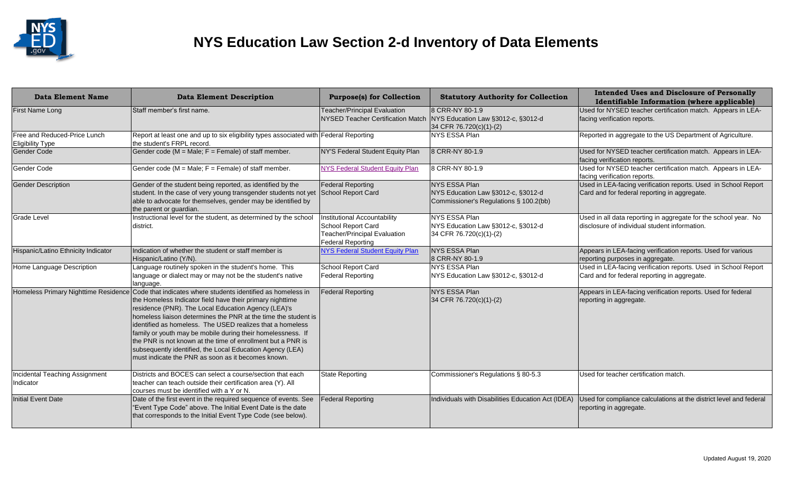

| <b>Data Element Name</b>                                | <b>Data Element Description</b>                                                                                                                                                                                                                                                                                                                                                                                                                                                                                                                                                                        | <b>Purpose(s) for Collection</b>                                                                               | <b>Statutory Authority for Collection</b>                                                     | <b>Intended Uses and Disclosure of Personally</b><br>Identifiable Information (where applicable)                 |
|---------------------------------------------------------|--------------------------------------------------------------------------------------------------------------------------------------------------------------------------------------------------------------------------------------------------------------------------------------------------------------------------------------------------------------------------------------------------------------------------------------------------------------------------------------------------------------------------------------------------------------------------------------------------------|----------------------------------------------------------------------------------------------------------------|-----------------------------------------------------------------------------------------------|------------------------------------------------------------------------------------------------------------------|
| First Name Long                                         | Staff member's first name.                                                                                                                                                                                                                                                                                                                                                                                                                                                                                                                                                                             | <b>Teacher/Principal Evaluation</b><br><b>NYSED Teacher Certification Match</b>                                | 8 CRR-NY 80-1.9<br>NYS Education Law §3012-c, §3012-d<br>34 CFR 76.720(c)(1)-(2)              | Used for NYSED teacher certification match. Appears in LEA-<br>facing verification reports.                      |
| Free and Reduced-Price Lunch<br><b>Eligibility Type</b> | Report at least one and up to six eligibility types associated with Federal Reporting<br>the student's FRPL record.                                                                                                                                                                                                                                                                                                                                                                                                                                                                                    |                                                                                                                | NYS ESSA Plan                                                                                 | Reported in aggregate to the US Department of Agriculture.                                                       |
| <b>Gender Code</b>                                      | Gender code (M = Male; F = Female) of staff member.                                                                                                                                                                                                                                                                                                                                                                                                                                                                                                                                                    | NY'S Federal Student Equity Plan                                                                               | 8 CRR-NY 80-1.9                                                                               | Used for NYSED teacher certification match. Appears in LEA-<br>facing verification reports.                      |
| Gender Code                                             | Gender code ( $M = Male$ ; $F = Female$ ) of staff member.                                                                                                                                                                                                                                                                                                                                                                                                                                                                                                                                             | <b>NYS Federal Student Equity Plan</b>                                                                         | 8 CRR-NY 80-1.9                                                                               | Used for NYSED teacher certification match. Appears in LEA-<br>facing verification reports.                      |
| <b>Gender Description</b>                               | Gender of the student being reported, as identified by the<br>student. In the case of very young transgender students not yet<br>able to advocate for themselves, gender may be identified by<br>the parent or guardian.                                                                                                                                                                                                                                                                                                                                                                               | Federal Reporting<br>School Report Card                                                                        | NYS ESSA Plan<br>NYS Education Law §3012-c, §3012-d<br>Commissioner's Regulations § 100.2(bb) | Used in LEA-facing verification reports. Used in School Report<br>Card and for federal reporting in aggregate.   |
| <b>Grade Level</b>                                      | Instructional level for the student, as determined by the school<br>district.                                                                                                                                                                                                                                                                                                                                                                                                                                                                                                                          | Institutional Accountability<br>School Report Card<br><b>Teacher/Principal Evaluation</b><br>Federal Reporting | NYS ESSA Plan<br>NYS Education Law §3012-c, §3012-d<br>34 CFR 76.720(c)(1)-(2)                | Used in all data reporting in aggregate for the school year. No<br>disclosure of individual student information. |
| Hispanic/Latino Ethnicity Indicator                     | Indication of whether the student or staff member is<br>Hispanic/Latino (Y/N).                                                                                                                                                                                                                                                                                                                                                                                                                                                                                                                         | <b>NYS Federal Student Equity Plan</b>                                                                         | NYS ESSA Plan<br>8 CRR-NY 80-1.9                                                              | Appears in LEA-facing verification reports. Used for various<br>reporting purposes in aggregate.                 |
| Home Language Description                               | Language routinely spoken in the student's home. This<br>language or dialect may or may not be the student's native<br>language.                                                                                                                                                                                                                                                                                                                                                                                                                                                                       | School Report Card<br>Federal Reporting                                                                        | NYS ESSA Plan<br>NYS Education Law §3012-c, §3012-d                                           | Used in LEA-facing verification reports. Used in School Report<br>Card and for federal reporting in aggregate.   |
|                                                         | Homeless Primary Nighttime Residence Code that indicates where students identified as homeless in<br>the Homeless Indicator field have their primary nighttime<br>residence (PNR). The Local Education Agency (LEA)'s<br>homeless liaison determines the PNR at the time the student is<br>lidentified as homeless. The USED realizes that a homeless<br>family or youth may be mobile during their homelessness. If<br>the PNR is not known at the time of enrollment but a PNR is<br>subsequently identified, the Local Education Agency (LEA)<br>must indicate the PNR as soon as it becomes known. | <b>Federal Reporting</b>                                                                                       | NYS ESSA Plan<br>34 CFR 76.720(c)(1)-(2)                                                      | Appears in LEA-facing verification reports. Used for federal<br>reporting in aggregate.                          |
| Incidental Teaching Assignment<br>Indicator             | Districts and BOCES can select a course/section that each<br>teacher can teach outside their certification area (Y). All<br>courses must be identified with a Y or N.                                                                                                                                                                                                                                                                                                                                                                                                                                  | <b>State Reporting</b>                                                                                         | Commissioner's Regulations § 80-5.3                                                           | Used for teacher certification match.                                                                            |
| Initial Event Date                                      | Date of the first event in the required sequence of events. See<br>"Event Type Code" above. The Initial Event Date is the date<br>that corresponds to the Initial Event Type Code (see below).                                                                                                                                                                                                                                                                                                                                                                                                         | <b>Federal Reporting</b>                                                                                       | Individuals with Disabilities Education Act (IDEA)                                            | Used for compliance calculations at the district level and federal<br>reporting in aggregate.                    |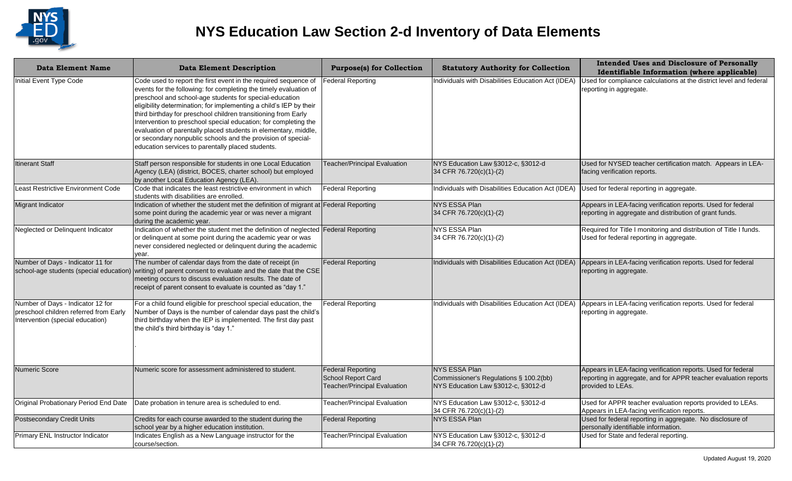

| <b>Data Element Name</b>                                                                                        | <b>Data Element Description</b>                                                                                                                                                                                                                                                                                                                                                                                                                                                                                                                                                                    | <b>Purpose(s) for Collection</b>                                                      | <b>Statutory Authority for Collection</b>                                                            | <b>Intended Uses and Disclosure of Personally</b><br>Identifiable Information (where applicable)                                                     |
|-----------------------------------------------------------------------------------------------------------------|----------------------------------------------------------------------------------------------------------------------------------------------------------------------------------------------------------------------------------------------------------------------------------------------------------------------------------------------------------------------------------------------------------------------------------------------------------------------------------------------------------------------------------------------------------------------------------------------------|---------------------------------------------------------------------------------------|------------------------------------------------------------------------------------------------------|------------------------------------------------------------------------------------------------------------------------------------------------------|
| Initial Event Type Code                                                                                         | Code used to report the first event in the required sequence of<br>events for the following: for completing the timely evaluation of<br>preschool and school-age students for special-education<br>eligibility determination; for implementing a child's IEP by their<br>third birthday for preschool children transitioning from Early<br>Intervention to preschool special education; for completing the<br>evaluation of parentally placed students in elementary, middle,<br>or secondary nonpublic schools and the provision of special-<br>education services to parentally placed students. | Federal Reporting                                                                     | Individuals with Disabilities Education Act (IDEA)                                                   | Used for compliance calculations at the district level and federal<br>reporting in aggregate.                                                        |
| <b>Itinerant Staff</b>                                                                                          | Staff person responsible for students in one Local Education<br>Agency (LEA) (district, BOCES, charter school) but employed<br>by another Local Education Agency (LEA).                                                                                                                                                                                                                                                                                                                                                                                                                            | <b>Teacher/Principal Evaluation</b>                                                   | NYS Education Law §3012-c, §3012-d<br>34 CFR 76.720(c)(1)-(2)                                        | Used for NYSED teacher certification match. Appears in LEA-<br>facing verification reports.                                                          |
| Least Restrictive Environment Code                                                                              | Code that indicates the least restrictive environment in which<br>students with disabilities are enrolled.                                                                                                                                                                                                                                                                                                                                                                                                                                                                                         | <b>Federal Reporting</b>                                                              | Individuals with Disabilities Education Act (IDEA)                                                   | Used for federal reporting in aggregate.                                                                                                             |
| Migrant Indicator                                                                                               | Indication of whether the student met the definition of migrant at Federal Reporting<br>some point during the academic year or was never a migrant<br>during the academic year.                                                                                                                                                                                                                                                                                                                                                                                                                    |                                                                                       | <b>NYS ESSA Plan</b><br>34 CFR 76.720(c)(1)-(2)                                                      | Appears in LEA-facing verification reports. Used for federal<br>reporting in aggregate and distribution of grant funds.                              |
| Neglected or Delinquent Indicator                                                                               | Indication of whether the student met the definition of neglected Federal Reporting<br>or delinquent at some point during the academic year or was<br>never considered neglected or delinquent during the academic<br>year.                                                                                                                                                                                                                                                                                                                                                                        |                                                                                       | NYS ESSA Plan<br>34 CFR 76.720(c)(1)-(2)                                                             | Required for Title I monitoring and distribution of Title I funds.<br>Used for federal reporting in aggregate.                                       |
| Number of Days - Indicator 11 for                                                                               | The number of calendar days from the date of receipt (in<br>school-age students (special education) writing) of parent consent to evaluate and the date that the CSE<br>meeting occurs to discuss evaluation results. The date of<br>receipt of parent consent to evaluate is counted as "day 1."                                                                                                                                                                                                                                                                                                  | <b>Federal Reporting</b>                                                              | Individuals with Disabilities Education Act (IDEA)                                                   | Appears in LEA-facing verification reports. Used for federal<br>reporting in aggregate.                                                              |
| Number of Days - Indicator 12 for<br>preschool children referred from Early<br>Intervention (special education) | For a child found eligible for preschool special education, the<br>Number of Days is the number of calendar days past the child's<br>third birthday when the IEP is implemented. The first day past<br>the child's third birthday is "day 1."                                                                                                                                                                                                                                                                                                                                                      | <b>Federal Reporting</b>                                                              | Individuals with Disabilities Education Act (IDEA)                                                   | Appears in LEA-facing verification reports. Used for federal<br>reporting in aggregate.                                                              |
| Numeric Score                                                                                                   | Numeric score for assessment administered to student.                                                                                                                                                                                                                                                                                                                                                                                                                                                                                                                                              | <b>Federal Reporting</b><br><b>School Report Card</b><br>Teacher/Principal Evaluation | <b>NYS ESSA Plan</b><br>Commissioner's Regulations § 100.2(bb)<br>NYS Education Law §3012-c, §3012-d | Appears in LEA-facing verification reports. Used for federal<br>reporting in aggregate, and for APPR teacher evaluation reports<br>provided to LEAs. |
|                                                                                                                 | Original Probationary Period End Date   Date probation in tenure area is scheduled to end.                                                                                                                                                                                                                                                                                                                                                                                                                                                                                                         | Teacher/Principal Evaluation                                                          | NYS Education Law §3012-c, §3012-d<br>34 CFR 76.720(c)(1)-(2)                                        | Used for APPR teacher evaluation reports provided to LEAs.<br>Appears in LEA-facing verification reports.                                            |
| <b>Postsecondary Credit Units</b>                                                                               | Credits for each course awarded to the student during the<br>school year by a higher education institution.                                                                                                                                                                                                                                                                                                                                                                                                                                                                                        | <b>Federal Reporting</b>                                                              | <b>NYS ESSA Plan</b>                                                                                 | Used for federal reporting in aggregate. No disclosure of<br>personally identifiable information.                                                    |
| Primary ENL Instructor Indicator                                                                                | Indicates English as a New Language instructor for the<br>course/section.                                                                                                                                                                                                                                                                                                                                                                                                                                                                                                                          | Teacher/Principal Evaluation                                                          | NYS Education Law §3012-c, §3012-d<br>34 CFR 76.720(c)(1)-(2)                                        | Used for State and federal reporting.                                                                                                                |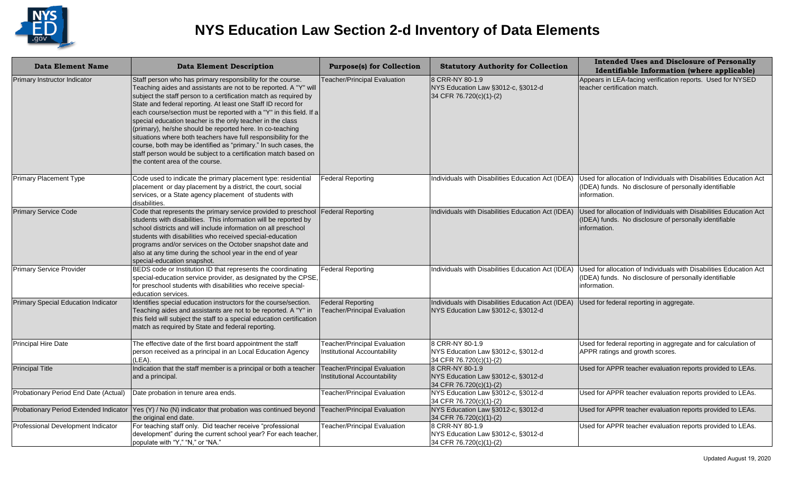

| <b>Data Element Name</b>                   | <b>Data Element Description</b>                                                                                                                                                                                                                                                                                                                                                                                                                                                                                                                                                                                                                                                                                    | <b>Purpose(s) for Collection</b>                                           | <b>Statutory Authority for Collection</b>                                                | <b>Intended Uses and Disclosure of Personally</b><br>Identifiable Information (where applicable)                                             |
|--------------------------------------------|--------------------------------------------------------------------------------------------------------------------------------------------------------------------------------------------------------------------------------------------------------------------------------------------------------------------------------------------------------------------------------------------------------------------------------------------------------------------------------------------------------------------------------------------------------------------------------------------------------------------------------------------------------------------------------------------------------------------|----------------------------------------------------------------------------|------------------------------------------------------------------------------------------|----------------------------------------------------------------------------------------------------------------------------------------------|
| Primary Instructor Indicator               | Staff person who has primary responsibility for the course.<br>Teaching aides and assistants are not to be reported. A "Y" will<br>subject the staff person to a certification match as required by<br>State and federal reporting. At least one Staff ID record for<br>each course/section must be reported with a "Y" in this field. If a<br>special education teacher is the only teacher in the class<br>(primary), he/she should be reported here. In co-teaching<br>situations where both teachers have full responsibility for the<br>course, both may be identified as "primary." In such cases, the<br>staff person would be subject to a certification match based on<br>the content area of the course. | <b>Feacher/Principal Evaluation</b>                                        | 8 CRR-NY 80-1.9<br>NYS Education Law §3012-c, §3012-d<br>34 CFR 76.720(c)(1)-(2)         | Appears in LEA-facing verification reports. Used for NYSED<br>teacher certification match.                                                   |
| Primary Placement Type                     | Code used to indicate the primary placement type: residential<br>placement or day placement by a district, the court, social<br>services, or a State agency placement of students with<br>disabilities.                                                                                                                                                                                                                                                                                                                                                                                                                                                                                                            | <b>Federal Reporting</b>                                                   | Individuals with Disabilities Education Act (IDEA)                                       | Used for allocation of Individuals with Disabilities Education Act<br>(IDEA) funds. No disclosure of personally identifiable<br>information. |
| <b>Primary Service Code</b>                | Code that represents the primary service provided to preschool<br>students with disabilities. This information will be reported by<br>school districts and will include information on all preschool<br>students with disabilities who received special-education<br>programs and/or services on the October snapshot date and<br>also at any time during the school year in the end of year<br>special-education snapshot.                                                                                                                                                                                                                                                                                        | <b>Federal Reporting</b>                                                   | Individuals with Disabilities Education Act (IDEA)                                       | Used for allocation of Individuals with Disabilities Education Act<br>(IDEA) funds. No disclosure of personally identifiable<br>information. |
| <b>Primary Service Provider</b>            | BEDS code or Institution ID that represents the coordinating<br>special-education service provider, as designated by the CPSE,<br>for preschool students with disabilities who receive special-<br>education services.                                                                                                                                                                                                                                                                                                                                                                                                                                                                                             | Federal Reporting                                                          | Individuals with Disabilities Education Act (IDEA)                                       | Used for allocation of Individuals with Disabilities Education Act<br>(IDEA) funds. No disclosure of personally identifiable<br>information. |
| <b>Primary Special Education Indicator</b> | Identifies special education instructors for the course/section.<br>Teaching aides and assistants are not to be reported. A "Y" in<br>this field will subject the staff to a special education certification<br>match as required by State and federal reporting.                                                                                                                                                                                                                                                                                                                                                                                                                                                  | <b>Federal Reporting</b><br><b>Teacher/Principal Evaluation</b>            | Individuals with Disabilities Education Act (IDEA)<br>NYS Education Law §3012-c, §3012-d | Used for federal reporting in aggregate.                                                                                                     |
| <b>Principal Hire Date</b>                 | The effective date of the first board appointment the staff<br>person received as a principal in an Local Education Agency<br>(LEA).                                                                                                                                                                                                                                                                                                                                                                                                                                                                                                                                                                               | <b>Teacher/Principal Evaluation</b><br>Institutional Accountability        | 8 CRR-NY 80-1.9<br>NYS Education Law §3012-c, §3012-d<br>34 CFR 76.720(c)(1)-(2)         | Used for federal reporting in aggregate and for calculation of<br>APPR ratings and growth scores.                                            |
| <b>Principal Title</b>                     | Indication that the staff member is a principal or both a teacher<br>and a principal.                                                                                                                                                                                                                                                                                                                                                                                                                                                                                                                                                                                                                              | <b>Teacher/Principal Evaluation</b><br><b>Institutional Accountability</b> | 8 CRR-NY 80-1.9<br>NYS Education Law §3012-c, §3012-d<br>34 CFR 76.720(c)(1)-(2)         | Used for APPR teacher evaluation reports provided to LEAs.                                                                                   |
| Probationary Period End Date (Actual)      | Date probation in tenure area ends.                                                                                                                                                                                                                                                                                                                                                                                                                                                                                                                                                                                                                                                                                | <b>Teacher/Principal Evaluation</b>                                        | NYS Education Law §3012-c, §3012-d<br>34 CFR 76.720(c)(1)-(2)                            | Used for APPR teacher evaluation reports provided to LEAs.                                                                                   |
|                                            | Probationary Period Extended Indicator Yes (Y) / No (N) indicator that probation was continued beyond<br>the original end date.                                                                                                                                                                                                                                                                                                                                                                                                                                                                                                                                                                                    | <b>Teacher/Principal Evaluation</b>                                        | NYS Education Law §3012-c, §3012-d<br>34 CFR 76.720(c)(1)-(2)                            | Used for APPR teacher evaluation reports provided to LEAs.                                                                                   |
| Professional Development Indicator         | For teaching staff only. Did teacher receive "professional<br>development" during the current school year? For each teacher,<br>populate with "Y," "N," or "NA."                                                                                                                                                                                                                                                                                                                                                                                                                                                                                                                                                   | <b>Teacher/Principal Evaluation</b>                                        | 8 CRR-NY 80-1.9<br>NYS Education Law §3012-c, §3012-d<br>34 CFR 76.720(c)(1)-(2)         | Used for APPR teacher evaluation reports provided to LEAs.                                                                                   |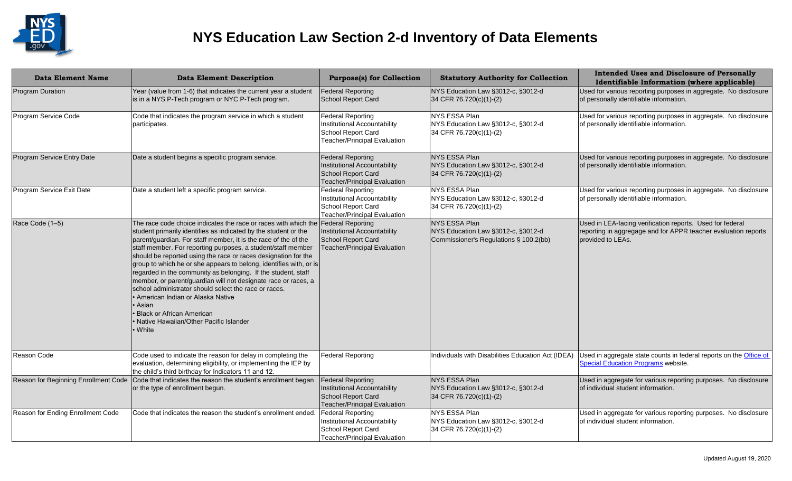

| <b>Data Element Name</b>          | <b>Data Element Description</b>                                                                                                                                                                                                                                                                                                                                                                                                                                                                                                                                                                                                                                                                                                                   | <b>Purpose(s) for Collection</b>                                                                                      | <b>Statutory Authority for Collection</b>                                                     | <b>Intended Uses and Disclosure of Personally</b><br>Identifiable Information (where applicable)                                                 |
|-----------------------------------|---------------------------------------------------------------------------------------------------------------------------------------------------------------------------------------------------------------------------------------------------------------------------------------------------------------------------------------------------------------------------------------------------------------------------------------------------------------------------------------------------------------------------------------------------------------------------------------------------------------------------------------------------------------------------------------------------------------------------------------------------|-----------------------------------------------------------------------------------------------------------------------|-----------------------------------------------------------------------------------------------|--------------------------------------------------------------------------------------------------------------------------------------------------|
| <b>Program Duration</b>           | Year (value from 1-6) that indicates the current year a student<br>is in a NYS P-Tech program or NYC P-Tech program.                                                                                                                                                                                                                                                                                                                                                                                                                                                                                                                                                                                                                              | <b>Federal Reporting</b><br>School Report Card                                                                        | NYS Education Law §3012-c, §3012-d<br>34 CFR 76.720(c)(1)-(2)                                 | Used for various reporting purposes in aggregate. No disclosure<br>of personally identifiable information.                                       |
| Program Service Code              | Code that indicates the program service in which a student<br>participates.                                                                                                                                                                                                                                                                                                                                                                                                                                                                                                                                                                                                                                                                       | <b>Federal Reporting</b><br>Institutional Accountability<br>School Report Card<br>Teacher/Principal Evaluation        | NYS ESSA Plan<br>NYS Education Law §3012-c, §3012-d<br>34 CFR 76.720(c)(1)-(2)                | Used for various reporting purposes in aggregate. No disclosure<br>of personally identifiable information.                                       |
| Program Service Entry Date        | Date a student begins a specific program service.                                                                                                                                                                                                                                                                                                                                                                                                                                                                                                                                                                                                                                                                                                 | <b>Federal Reporting</b><br>Institutional Accountability<br>School Report Card<br><b>Teacher/Principal Evaluation</b> | NYS ESSA Plan<br>NYS Education Law §3012-c, §3012-d<br>34 CFR 76.720(c)(1)-(2)                | Used for various reporting purposes in aggregate. No disclosure<br>of personally identifiable information.                                       |
| Program Service Exit Date         | Date a student left a specific program service.                                                                                                                                                                                                                                                                                                                                                                                                                                                                                                                                                                                                                                                                                                   | <b>Federal Reporting</b><br>Institutional Accountability<br>School Report Card<br>Teacher/Principal Evaluation        | <b>NYS ESSA Plan</b><br>NYS Education Law §3012-c, §3012-d<br>34 CFR 76.720(c)(1)-(2)         | Used for various reporting purposes in aggregate. No disclosure<br>of personally identifiable information.                                       |
| Race Code (1-5)                   | The race code choice indicates the race or races with which the<br>student primarily identifies as indicated by the student or the<br>parent/guardian. For staff member, it is the race of the of the<br>staff member. For reporting purposes, a student/staff member<br>should be reported using the race or races designation for the<br>group to which he or she appears to belong, identifies with, or is<br>regarded in the community as belonging. If the student, staff<br>member, or parent/guardian will not designate race or races, a<br>school administrator should select the race or races.<br>• American Indian or Alaska Native<br>Asian<br><b>Black or African American</b><br>Native Hawaiian/Other Pacific Islander<br>• White | <b>Federal Reporting</b><br>Institutional Accountability<br>School Report Card<br><b>Teacher/Principal Evaluation</b> | NYS ESSA Plan<br>NYS Education Law §3012-c, §3012-d<br>Commissioner's Regulations § 100.2(bb) | Used in LEA-facing verification reports. Used for federal<br>reporting in aggregage and for APPR teacher evaluation reports<br>provided to LEAs. |
| Reason Code                       | Code used to indicate the reason for delay in completing the<br>evaluation, determining eligibility, or implementing the IEP by<br>the child's third birthday for Indicators 11 and 12.                                                                                                                                                                                                                                                                                                                                                                                                                                                                                                                                                           | <b>Federal Reporting</b>                                                                                              | Individuals with Disabilities Education Act (IDEA)                                            | Used in aggregate state counts in federal reports on the <b>Office of</b><br><b>Special Education Programs website.</b>                          |
|                                   | Reason for Beginning Enrollment Code   Code that indicates the reason the student's enrollment began<br>or the type of enrollment begun.                                                                                                                                                                                                                                                                                                                                                                                                                                                                                                                                                                                                          | <b>Federal Reporting</b><br>Institutional Accountability<br>School Report Card<br><b>Teacher/Principal Evaluation</b> | NYS ESSA Plan<br>NYS Education Law §3012-c, §3012-d<br>34 CFR 76.720(c)(1)-(2)                | Used in aggregate for various reporting purposes. No disclosure<br>of individual student information.                                            |
| Reason for Ending Enrollment Code | Code that indicates the reason the student's enrollment ended.                                                                                                                                                                                                                                                                                                                                                                                                                                                                                                                                                                                                                                                                                    | <b>Federal Reporting</b><br>Institutional Accountability<br>School Report Card<br><b>Teacher/Principal Evaluation</b> | NYS ESSA Plan<br>NYS Education Law §3012-c, §3012-d<br>34 CFR 76.720(c)(1)-(2)                | Used in aggregate for various reporting purposes. No disclosure<br>of individual student information.                                            |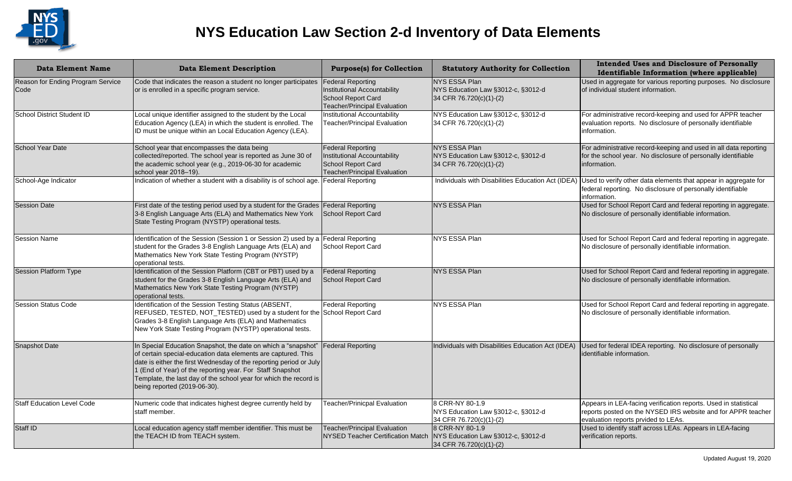

| <b>Data Element Name</b>                  | <b>Data Element Description</b>                                                                                                                                                                                                                                                                                                                                        | <b>Purpose(s) for Collection</b>                                                                                      | <b>Statutory Authority for Collection</b>                                             | <b>Intended Uses and Disclosure of Personally</b><br>Identifiable Information (where applicable)                                                                       |
|-------------------------------------------|------------------------------------------------------------------------------------------------------------------------------------------------------------------------------------------------------------------------------------------------------------------------------------------------------------------------------------------------------------------------|-----------------------------------------------------------------------------------------------------------------------|---------------------------------------------------------------------------------------|------------------------------------------------------------------------------------------------------------------------------------------------------------------------|
| Reason for Ending Program Service<br>Code | Code that indicates the reason a student no longer participates<br>or is enrolled in a specific program service.                                                                                                                                                                                                                                                       | <b>Federal Reporting</b><br>Institutional Accountability<br>School Report Card<br><b>Teacher/Principal Evaluation</b> | NYS ESSA Plan<br>NYS Education Law §3012-c, §3012-d<br>34 CFR 76.720(c)(1)-(2)        | Used in aggregate for various reporting purposes. No disclosure<br>of individual student information.                                                                  |
| School District Student ID                | Local unique identifier assigned to the student by the Local<br>Education Agency (LEA) in which the student is enrolled. The<br>ID must be unique within an Local Education Agency (LEA).                                                                                                                                                                              | Institutional Accountability<br><b>Teacher/Principal Evaluation</b>                                                   | NYS Education Law §3012-c, §3012-d<br>34 CFR 76.720(c)(1)-(2)                         | For administrative record-keeping and used for APPR teacher<br>evaluation reports. No disclosure of personally identifiable<br>information.                            |
| <b>School Year Date</b>                   | School year that encompasses the data being<br>collected/reported. The school year is reported as June 30 of<br>the academic school year (e.g., 2019-06-30 for academic<br>school year 2018-19).                                                                                                                                                                       | <b>Federal Reporting</b><br>Institutional Accountability<br>School Report Card<br>Teacher/Principal Evaluation        | <b>NYS ESSA Plan</b><br>NYS Education Law §3012-c, §3012-d<br>34 CFR 76.720(c)(1)-(2) | For administrative record-keeping and used in all data reporting<br>for the school year. No disclosure of personally identifiable<br>information.                      |
| School-Age Indicator                      | Indication of whether a student with a disability is of school age.                                                                                                                                                                                                                                                                                                    | <b>Federal Reporting</b>                                                                                              | Individuals with Disabilities Education Act (IDEA)                                    | Used to verify other data elements that appear in aggregate for<br>federal reporting. No disclosure of personally identifiable<br>information.                         |
| <b>Session Date</b>                       | First date of the testing period used by a student for the Grades<br>3-8 English Language Arts (ELA) and Mathematics New York<br>State Testing Program (NYSTP) operational tests.                                                                                                                                                                                      | Federal Reporting<br>School Report Card                                                                               | <b>NYS ESSA Plan</b>                                                                  | Used for School Report Card and federal reporting in aggregate.<br>No disclosure of personally identifiable information.                                               |
| <b>Session Name</b>                       | Identification of the Session (Session 1 or Session 2) used by a<br>student for the Grades 3-8 English Language Arts (ELA) and<br>Mathematics New York State Testing Program (NYSTP)<br>operational tests.                                                                                                                                                             | Federal Reporting<br>School Report Card                                                                               | NYS ESSA Plan                                                                         | Used for School Report Card and federal reporting in aggregate.<br>No disclosure of personally identifiable information.                                               |
| <b>Session Platform Type</b>              | Identification of the Session Platform (CBT or PBT) used by a<br>student for the Grades 3-8 English Language Arts (ELA) and<br>Mathematics New York State Testing Program (NYSTP)<br>operational tests.                                                                                                                                                                | <b>Federal Reporting</b><br>School Report Card                                                                        | NYS ESSA Plan                                                                         | Used for School Report Card and federal reporting in aggregate.<br>No disclosure of personally identifiable information.                                               |
| <b>Session Status Code</b>                | Identification of the Session Testing Status (ABSENT,<br>REFUSED, TESTED, NOT_TESTED) used by a student for the School Report Card<br>Grades 3-8 English Language Arts (ELA) and Mathematics<br>New York State Testing Program (NYSTP) operational tests.                                                                                                              | <b>Federal Reporting</b>                                                                                              | <b>NYS ESSA Plan</b>                                                                  | Used for School Report Card and federal reporting in aggregate.<br>No disclosure of personally identifiable information.                                               |
| <b>Snapshot Date</b>                      | In Special Education Snapshot, the date on which a "snapshot"<br>of certain special-education data elements are captured. This<br>date is either the first Wednesday of the reporting period or July<br>1 (End of Year) of the reporting year. For Staff Snapshot<br>Template, the last day of the school year for which the record is<br>being reported (2019-06-30). | <b>Federal Reporting</b>                                                                                              | Individuals with Disabilities Education Act (IDEA)                                    | Used for federal IDEA reporting. No disclosure of personally<br>identifiable information.                                                                              |
| Staff Education Level Code                | Numeric code that indicates highest degree currently held by<br>staff member.                                                                                                                                                                                                                                                                                          | Teacher/Prinicpal Evaluation                                                                                          | 8 CRR-NY 80-1.9<br>NYS Education Law §3012-c, §3012-d<br>34 CFR 76.720(c)(1)-(2)      | Appears in LEA-facing verification reports. Used in statistical<br>reports posted on the NYSED IRS website and for APPR teacher<br>evaluation reports prvided to LEAs. |
| Staff ID                                  | Local education agency staff member identifier. This must be<br>the TEACH ID from TEACH system.                                                                                                                                                                                                                                                                        | <b>Teacher/Principal Evaluation</b><br><b>NYSED Teacher Certification Match</b>                                       | 8 CRR-NY 80-1.9<br>NYS Education Law §3012-c, §3012-d<br>34 CFR 76.720(c)(1)-(2)      | Used to identify staff across LEAs. Appears in LEA-facing<br>verification reports.                                                                                     |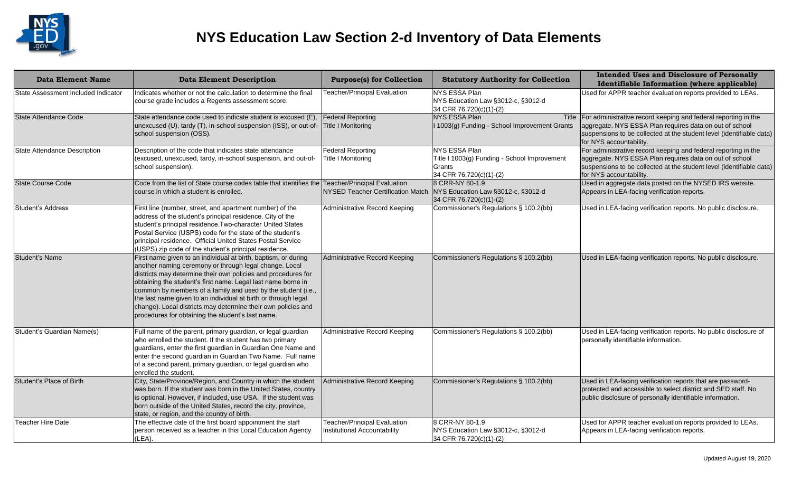

| <b>Data Element Name</b>            | <b>Data Element Description</b>                                                                                                                                                                                                                                                                                                                                                                                                                                                                                   | <b>Purpose(s) for Collection</b>                                                | <b>Statutory Authority for Collection</b>                                                          | <b>Intended Uses and Disclosure of Personally</b><br>Identifiable Information (where applicable)                                                                                                                                     |
|-------------------------------------|-------------------------------------------------------------------------------------------------------------------------------------------------------------------------------------------------------------------------------------------------------------------------------------------------------------------------------------------------------------------------------------------------------------------------------------------------------------------------------------------------------------------|---------------------------------------------------------------------------------|----------------------------------------------------------------------------------------------------|--------------------------------------------------------------------------------------------------------------------------------------------------------------------------------------------------------------------------------------|
| State Assessment Included Indicator | Indicates whether or not the calculation to determine the final<br>course grade includes a Regents assessment score.                                                                                                                                                                                                                                                                                                                                                                                              | <b>Teacher/Principal Evaluation</b>                                             | NYS ESSA Plan<br>NYS Education Law §3012-c, §3012-d<br>34 CFR 76.720(c)(1)-(2)                     | Used for APPR teacher evaluation reports provided to LEAs.                                                                                                                                                                           |
| State Attendance Code               | State attendance code used to indicate student is excused (E),<br>unexcused (U), tardy (T), in-school suspension (ISS), or out-of-<br>school suspension (OSS).                                                                                                                                                                                                                                                                                                                                                    | <b>Federal Reporting</b><br><b>Title I Monitoring</b>                           | <b>NYS ESSA Plan</b><br>1003(g) Funding - School Improvement Grants                                | Title   For administrative record keeping and federal reporting in the<br>aggregate. NYS ESSA Plan requires data on out of school<br>suspensions to be collected at the student level (identifiable data)<br>for NYS accountability. |
| State Attendance Description        | Description of the code that indicates state attendance<br>(excused, unexcused, tardy, in-school suspension, and out-of-<br>school suspension).                                                                                                                                                                                                                                                                                                                                                                   | <b>Federal Reporting</b><br><b>Title I Monitoring</b>                           | NYS ESSA Plan<br>Title I 1003(g) Funding - School Improvement<br>Grants<br>34 CFR 76.720(c)(1)-(2) | For administrative record keeping and federal reporting in the<br>aggregate. NYS ESSA Plan requires data on out of school<br>suspensions to be collected at the student level (identifiable data)<br>for NYS accountability.         |
| State Course Code                   | Code from the list of State course codes table that identifies the<br>course in which a student is enrolled.                                                                                                                                                                                                                                                                                                                                                                                                      | <b>Teacher/Principal Evaluation</b><br><b>NYSED Teacher Certification Match</b> | 8 CRR-NY 80-1.9<br>NYS Education Law §3012-c, §3012-d<br>34 CFR 76.720(c)(1)-(2)                   | Used in aggregate data posted on the NYSED IRS website.<br>Appears in LEA-facing verification reports.                                                                                                                               |
| Student's Address                   | First line (number, street, and apartment number) of the<br>address of the student's principal residence. City of the<br>student's principal residence. Two-character United States<br>Postal Service (USPS) code for the state of the student's<br>principal residence. Official United States Postal Service<br>(USPS) zip code of the student's principal residence.                                                                                                                                           | Administrative Record Keeping                                                   | Commissioner's Regulations § 100.2(bb)                                                             | Used in LEA-facing verification reports. No public disclosure.                                                                                                                                                                       |
| Student's Name                      | First name given to an individual at birth, baptism, or during<br>another naming ceremony or through legal change. Local<br>districts may determine their own policies and procedures for<br>obtaining the student's first name. Legal last name borne in<br>common by members of a family and used by the student (i.e.,<br>the last name given to an individual at birth or through legal<br>change). Local districts may determine their own policies and<br>procedures for obtaining the student's last name. | Administrative Record Keeping                                                   | Commissioner's Regulations § 100.2(bb)                                                             | Used in LEA-facing verification reports. No public disclosure.                                                                                                                                                                       |
| Student's Guardian Name(s)          | Full name of the parent, primary guardian, or legal guardian<br>who enrolled the student. If the student has two primary<br>guardians, enter the first guardian in Guardian One Name and<br>enter the second guardian in Guardian Two Name. Full name<br>of a second parent, primary guardian, or legal guardian who<br>enrolled the student.                                                                                                                                                                     | Administrative Record Keeping                                                   | Commissioner's Regulations § 100.2(bb)                                                             | Used in LEA-facing verification reports. No public disclosure of<br>personally identifiable information.                                                                                                                             |
| Student's Place of Birth            | City, State/Province/Region, and Country in which the student<br>was born. If the student was born in the United States, country<br>is optional. However, if included, use USA. If the student was<br>born outside of the United States, record the city, province,<br>state, or region, and the country of birth.                                                                                                                                                                                                | <b>Administrative Record Keeping</b>                                            | Commissioner's Regulations § 100.2(bb)                                                             | Used in LEA-facing verification reports that are password-<br>protected and accessible to select district and SED staff. No<br>public disclosure of personally identifiable information.                                             |
| <b>Teacher Hire Date</b>            | The effective date of the first board appointment the staff<br>person received as a teacher in this Local Education Agency<br>(LEA).                                                                                                                                                                                                                                                                                                                                                                              | <b>Teacher/Principal Evaluation</b><br>Institutional Accountability             | 8 CRR-NY 80-1.9<br>NYS Education Law §3012-c, §3012-d<br>34 CFR 76.720(c)(1)-(2)                   | Used for APPR teacher evaluation reports provided to LEAs.<br>Appears in LEA-facing verification reports.                                                                                                                            |
|                                     |                                                                                                                                                                                                                                                                                                                                                                                                                                                                                                                   |                                                                                 |                                                                                                    | Updated August 19, 2020                                                                                                                                                                                                              |